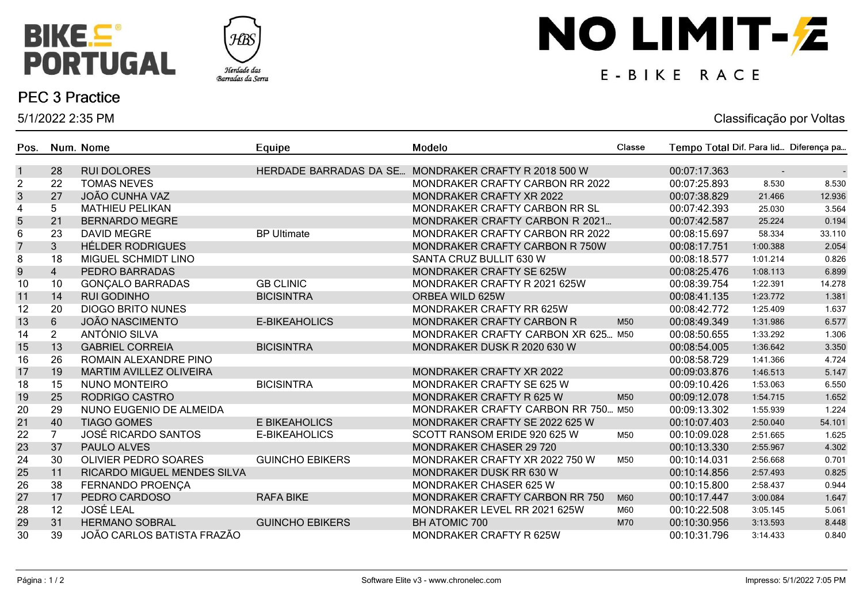



### **PEC 3 Practice**

5/1/2022 2:35 PM

# NO LIMIT-Z

## E-BIKE RACE

#### Classificação por Voltas

| Pos.           |                | Num. Nome                      | Equipe                        | Modelo                                 | Classe          | Tempo Total Dif. Para lid Diferença pa |          |        |
|----------------|----------------|--------------------------------|-------------------------------|----------------------------------------|-----------------|----------------------------------------|----------|--------|
| $\mathbf{1}$   | 28             | <b>RUI DOLORES</b>             | <b>HERDADE BARRADAS DA SE</b> | MONDRAKER CRAFTY R 2018 500 W          |                 | 00:07:17.363                           |          |        |
| $\overline{c}$ | 22             | <b>TOMAS NEVES</b>             |                               | <b>MONDRAKER CRAFTY CARBON RR 2022</b> |                 | 00:07:25.893                           | 8.530    | 8.530  |
| $\mathfrak{S}$ | 27             | <b>JOÃO CUNHA VAZ</b>          |                               | MONDRAKER CRAFTY XR 2022               |                 | 00:07:38.829                           | 21.466   | 12.936 |
| 4              | 5              | <b>MATHIEU PELIKAN</b>         |                               | MONDRAKER CRAFTY CARBON RR SL          |                 | 00:07:42.393                           | 25.030   | 3.564  |
| $\sqrt{5}$     | 21             | <b>BERNARDO MEGRE</b>          |                               | MONDRAKER CRAFTY CARBON R 2021         |                 | 00:07:42.587                           | 25.224   | 0.194  |
| 6              | 23             | <b>DAVID MEGRE</b>             | <b>BP Ultimate</b>            | MONDRAKER CRAFTY CARBON RR 2022        |                 | 00:08:15.697                           | 58.334   | 33.110 |
| $\overline{7}$ | $\overline{3}$ | <b>HÉLDER RODRIGUES</b>        |                               | MONDRAKER CRAFTY CARBON R 750W         |                 | 00:08:17.751                           | 1:00.388 | 2.054  |
| 8              | 18             | MIGUEL SCHMIDT LINO            |                               | SANTA CRUZ BULLIT 630 W                |                 | 00:08:18.577                           | 1:01.214 | 0.826  |
| $9$            | $\overline{4}$ | PEDRO BARRADAS                 |                               | MONDRAKER CRAFTY SE 625W               |                 | 00:08:25.476                           | 1:08.113 | 6.899  |
| 10             | 10             | <b>GONÇALO BARRADAS</b>        | <b>GB CLINIC</b>              | MONDRAKER CRAFTY R 2021 625W           |                 | 00:08:39.754                           | 1:22.391 | 14.278 |
| 11             | 14             | <b>RUI GODINHO</b>             | <b>BICISINTRA</b>             | ORBEA WILD 625W                        |                 | 00:08:41.135                           | 1:23.772 | 1.381  |
| 12             | 20             | <b>DIOGO BRITO NUNES</b>       |                               | <b>MONDRAKER CRAFTY RR 625W</b>        |                 | 00:08:42.772                           | 1:25.409 | 1.637  |
| 13             | 6              | <b>JOÃO NASCIMENTO</b>         | <b>E-BIKEAHOLICS</b>          | <b>MONDRAKER CRAFTY CARBON R</b>       | M <sub>50</sub> | 00:08:49.349                           | 1:31.986 | 6.577  |
| 14             | $\overline{2}$ | ANTÓNIO SILVA                  |                               | MONDRAKER CRAFTY CARBON XR 625 M50     |                 | 00:08:50.655                           | 1:33.292 | 1.306  |
| 15             | 13             | <b>GABRIEL CORREIA</b>         | <b>BICISINTRA</b>             | MONDRAKER DUSK R 2020 630 W            |                 | 00:08:54.005                           | 1:36.642 | 3.350  |
| 16             | 26             | ROMAIN ALEXANDRE PINO          |                               |                                        |                 | 00:08:58.729                           | 1:41.366 | 4.724  |
| 17             | 19             | <b>MARTIM AVILLEZ OLIVEIRA</b> |                               | MONDRAKER CRAFTY XR 2022               |                 | 00:09:03.876                           | 1:46.513 | 5.147  |
| 18             | 15             | <b>NUNO MONTEIRO</b>           | <b>BICISINTRA</b>             | MONDRAKER CRAFTY SE 625 W              |                 | 00:09:10.426                           | 1:53.063 | 6.550  |
| 19             | 25             | RODRIGO CASTRO                 |                               | MONDRAKER CRAFTY R 625 W               | M50             | 00:09:12.078                           | 1:54.715 | 1.652  |
| 20             | 29             | NUNO EUGENIO DE ALMEIDA        |                               | MONDRAKER CRAFTY CARBON RR 750 M50     |                 | 00:09:13.302                           | 1:55.939 | 1.224  |
| 21             | 40             | <b>TIAGO GOMES</b>             | E BIKEAHOLICS                 | MONDRAKER CRAFTY SE 2022 625 W         |                 | 00:10:07.403                           | 2:50.040 | 54.101 |
| 22             | $\overline{7}$ | <b>JOSÉ RICARDO SANTOS</b>     | <b>E-BIKEAHOLICS</b>          | SCOTT RANSOM ERIDE 920 625 W           | M50             | 00:10:09.028                           | 2:51.665 | 1.625  |
| 23             | 37             | PAULO ALVES                    |                               | <b>MONDRAKER CHASER 29 720</b>         |                 | 00:10:13.330                           | 2:55.967 | 4.302  |
| 24             | 30             | <b>OLIVIER PEDRO SOARES</b>    | <b>GUINCHO EBIKERS</b>        | MONDRAKER CRAFTY XR 2022 750 W         | M50             | 00:10:14.031                           | 2:56.668 | 0.701  |
| 25             | 11             | RICARDO MIGUEL MENDES SILVA    |                               | MONDRAKER DUSK RR 630 W                |                 | 00:10:14.856                           | 2:57.493 | 0.825  |
| 26             | 38             | FERNANDO PROENÇA               |                               | <b>MONDRAKER CHASER 625 W</b>          |                 | 00:10:15.800                           | 2:58.437 | 0.944  |
| 27             | 17             | PEDRO CARDOSO                  | <b>RAFA BIKE</b>              | <b>MONDRAKER CRAFTY CARBON RR 750</b>  | M60             | 00:10:17.447                           | 3:00.084 | 1.647  |
| 28             | 12             | <b>JOSÉ LEAL</b>               |                               | MONDRAKER LEVEL RR 2021 625W           | M60             | 00:10:22.508                           | 3:05.145 | 5.061  |
| 29             | 31             | <b>HERMANO SOBRAL</b>          | <b>GUINCHO EBIKERS</b>        | <b>BH ATOMIC 700</b>                   | M70             | 00:10:30.956                           | 3:13.593 | 8.448  |
| 30             | 39             | JOÃO CARLOS BATISTA FRAZÃO     |                               | MONDRAKER CRAFTY R 625W                |                 | 00:10:31.796                           | 3:14.433 | 0.840  |